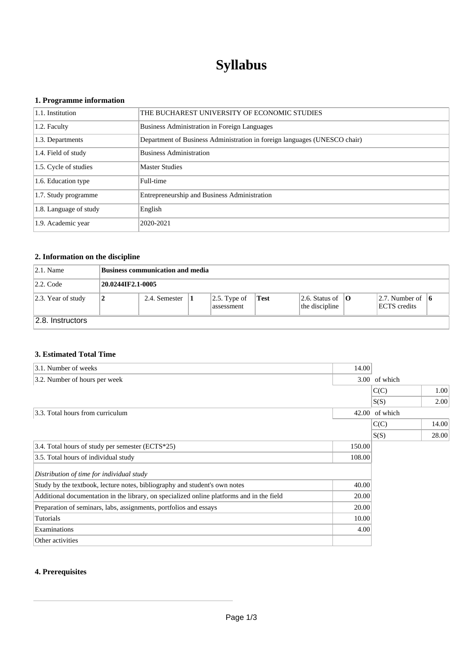# **Syllabus**

## **1. Programme information**

| 1.1. Institution       | THE BUCHAREST UNIVERSITY OF ECONOMIC STUDIES                              |
|------------------------|---------------------------------------------------------------------------|
| 1.2. Faculty           | Business Administration in Foreign Languages                              |
| 1.3. Departments       | Department of Business Administration in foreign languages (UNESCO chair) |
| 1.4. Field of study    | <b>Business Administration</b>                                            |
| 1.5. Cycle of studies  | <b>Master Studies</b>                                                     |
| 1.6. Education type    | Full-time                                                                 |
| 1.7. Study programme   | Entrepreneurship and Business Administration                              |
| 1.8. Language of study | English                                                                   |
| 1.9. Academic year     | 2020-2021                                                                 |

# **2. Information on the discipline**

| $ 2.1.$ Name          | Business communication and media |               |  |                                    |      |                                                |                                                        |  |
|-----------------------|----------------------------------|---------------|--|------------------------------------|------|------------------------------------------------|--------------------------------------------------------|--|
| $ 2.2$ . Code         | 20.0244IF2.1-0005                |               |  |                                    |      |                                                |                                                        |  |
| $ 2.3.$ Year of study | 2                                | 2.4. Semester |  | $\vert 2.5.$ Type of<br>assessment | Test | 2.6. Status of $\ $ <b>O</b><br>the discipline | $\vert 2.7.$ Number of $\vert 6 \vert$<br>ECTS credits |  |
| 2.8. Instructors      |                                  |               |  |                                    |      |                                                |                                                        |  |

## **3. Estimated Total Time**

| 3.1. Number of weeks                                                                      | 14.00  |                |       |
|-------------------------------------------------------------------------------------------|--------|----------------|-------|
| 3.2. Number of hours per week                                                             |        | 3.00 of which  |       |
|                                                                                           |        | C(C)           | 1.00  |
|                                                                                           |        | S(S)           | 2.00  |
| 3.3. Total hours from curriculum                                                          |        | 42.00 of which |       |
|                                                                                           |        | C(C)           | 14.00 |
|                                                                                           |        | S(S)           | 28.00 |
| 3.4. Total hours of study per semester (ECTS*25)                                          | 150.00 |                |       |
| 3.5. Total hours of individual study                                                      | 108.00 |                |       |
| Distribution of time for individual study                                                 |        |                |       |
| Study by the textbook, lecture notes, bibliography and student's own notes                | 40.00  |                |       |
| Additional documentation in the library, on specialized online platforms and in the field | 20.00  |                |       |
| Preparation of seminars, labs, assignments, portfolios and essays                         | 20.00  |                |       |
| Tutorials                                                                                 | 10.00  |                |       |
| Examinations                                                                              | 4.00   |                |       |
| Other activities                                                                          |        |                |       |

# **4. Prerequisites**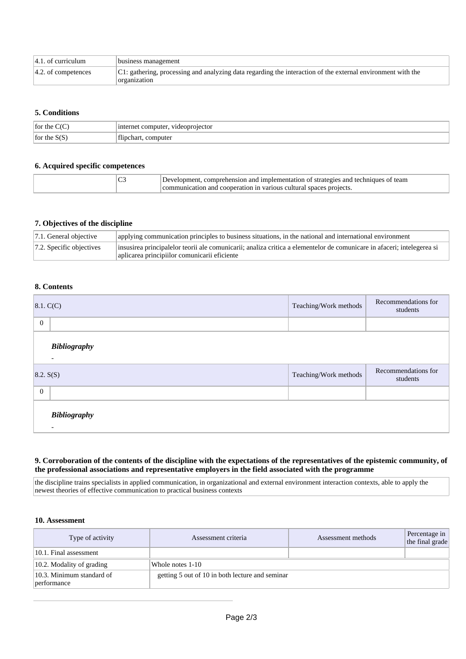| $ 4.1$ . of curriculum | business management                                                                                                         |
|------------------------|-----------------------------------------------------------------------------------------------------------------------------|
| $ 4.2.$ of competences | C1: gathering, processing and analyzing data regarding the interaction of the external environment with the<br>organization |

### **5. Conditions**

| for the        | . videoprojector<br>computer<br>1n<br>∵met . |
|----------------|----------------------------------------------|
| for the<br>دىد | computer<br>f 11°<br>nar<br>.                |

#### **6. Acquired specific competences**

| $\sim$<br>◡- | r implementation -<br>and<br>strategies<br>team<br>and<br>' fechniques<br>ehension<br><b>10119</b><br>projects.<br>anc<br>cooperation<br>∴^∩m… |
|--------------|------------------------------------------------------------------------------------------------------------------------------------------------|
|--------------|------------------------------------------------------------------------------------------------------------------------------------------------|

#### **7. Objectives of the discipline**

| $ 7.1$ . General objective   | applying communication principles to business situations, in the national and international environment                                                                |
|------------------------------|------------------------------------------------------------------------------------------------------------------------------------------------------------------------|
| $ 7.2$ . Specific objectives | insusirea principalelor teorii ale comunicarii; analiza critica a elementelor de comunicare in afaceri; intelegerea si<br>aplicarea principiilor comunicarii eficiente |

#### **8. Contents**

| 8.1, C(C)      |                                                 | Teaching/Work methods | Recommendations for<br>students |  |
|----------------|-------------------------------------------------|-----------------------|---------------------------------|--|
| $\overline{0}$ |                                                 |                       |                                 |  |
|                | <b>Bibliography</b><br>$\overline{\phantom{a}}$ |                       |                                 |  |
| 8.2. S(S)      |                                                 | Teaching/Work methods | Recommendations for<br>students |  |
| $\overline{0}$ |                                                 |                       |                                 |  |
|                | <b>Bibliography</b><br>$\overline{\phantom{a}}$ |                       |                                 |  |

#### **9. Corroboration of the contents of the discipline with the expectations of the representatives of the epistemic community, of the professional associations and representative employers in the field associated with the programme**

the discipline trains specialists in applied communication, in organizational and external environment interaction contexts, able to apply the newest theories of effective communication to practical business contexts

#### **10. Assessment**

| Type of activity                         | Assessment criteria                             | Assessment methods | Percentage in<br>the final grade |
|------------------------------------------|-------------------------------------------------|--------------------|----------------------------------|
| 10.1. Final assessment                   |                                                 |                    |                                  |
| $ 10.2$ . Modality of grading            | Whole notes 1-10                                |                    |                                  |
| 10.3. Minimum standard of<br>performance | getting 5 out of 10 in both lecture and seminar |                    |                                  |